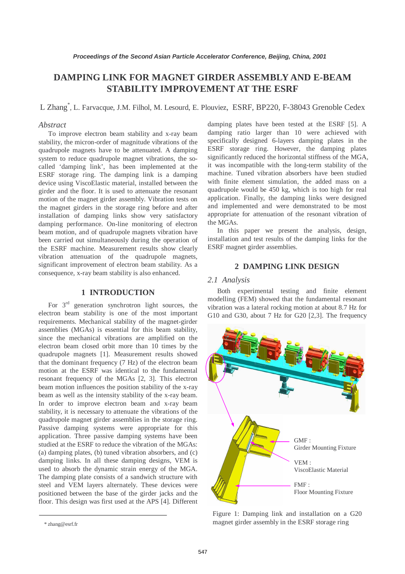# **DAMPING LINK FOR MAGNET GIRDER ASSEMBLY AND E-BEAM STABILITY IMPROVEMENT AT THE ESRF**

L Zhang\* , L. Farvacque, J.M. Filhol, M. Lesourd, E. Plouviez, ESRF, BP220, F-38043 Grenoble Cedex

# *Abstract*

To improve electron beam stability and x-ray beam stability, the micron-order of magnitude vibrations of the quadrupole magnets have to be attenuated. A damping system to reduce quadrupole magnet vibrations, the socalled 'damping link', has been implemented at the ESRF storage ring. The damping link is a damping device using ViscoElastic material, installed between the girder and the floor. It is used to attenuate the resonant motion of the magnet girder assembly. Vibration tests on the magnet girders in the storage ring before and after installation of damping links show very satisfactory damping performance. On-line monitoring of electron beam motion, and of quadrupole magnets vibration have been carried out simultaneously during the operation of the ESRF machine. Measurement results show clearly vibration attenuation of the quadrupole magnets, significant improvement of electron beam stability. As a consequence, x-ray beam stability is also enhanced.

# **1 INTRODUCTION**

For  $3<sup>rd</sup>$  generation synchrotron light sources, the electron beam stability is one of the most important requirements. Mechanical stability of the magnet-girder assemblies (MGAs) is essential for this beam stability, since the mechanical vibrations are amplified on the electron beam closed orbit more than 10 times by the quadrupole magnets [1]. Measurement results showed that the dominant frequency (7 Hz) of the electron beam motion at the ESRF was identical to the fundamental resonant frequency of the MGAs [2, 3]. This electron beam motion influences the position stability of the x-ray beam as well as the intensity stability of the x-ray beam. In order to improve electron beam and x-ray beam stability, it is necessary to attenuate the vibrations of the quadrupole magnet girder assemblies in the storage ring. Passive damping systems were appropriate for this application. Three passive damping systems have been studied at the ESRF to reduce the vibration of the MGAs: (a) damping plates, (b) tuned vibration absorbers, and (c) damping links. In all these damping designs, VEM is used to absorb the dynamic strain energy of the MGA. The damping plate consists of a sandwich structure with steel and VEM layers alternately. These devices were positioned between the base of the girder jacks and the floor. This design was first used at the APS [4]. Different damping plates have been tested at the ESRF [5]. A damping ratio larger than 10 were achieved with specifically designed 6-layers damping plates in the ESRF storage ring. However, the damping plates significantly reduced the horizontal stiffness of the MGA, it was incompatible with the long-term stability of the machine. Tuned vibration absorbers have been studied with finite element simulation, the added mass on a quadrupole would be 450 kg, which is too high for real application. Finally, the damping links were designed and implemented and were demonstrated to be most appropriate for attenuation of the resonant vibration of the MGAs.

In this paper we present the analysis, design, installation and test results of the damping links for the ESRF magnet girder assemblies.

# **2 DAMPING LINK DESIGN**

#### *2.1 Analysis*

Both experimental testing and finite element modelling (FEM) showed that the fundamental resonant vibration was a lateral rocking motion at about 8.7 Hz for G10 and G30, about 7 Hz for G20 [2,3]. The frequency



Figure 1: Damping link and installation on a G20 magnet girder assembly in the ESRF storage ring

<sup>\*</sup> zhang@esrf.fr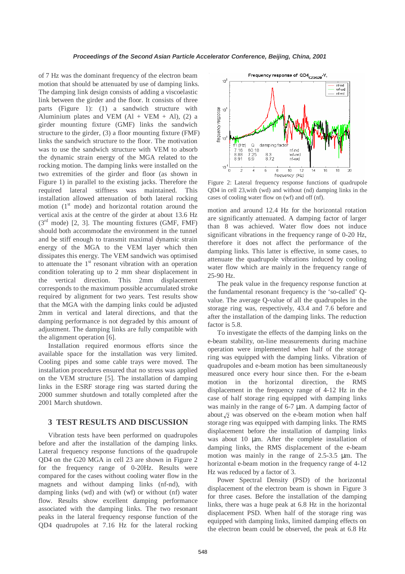of 7 Hz was the dominant frequency of the electron beam motion that should be attenuated by use of damping links. The damping link design consists of adding a viscoelastic link between the girder and the floor. It consists of three parts (Figure 1): (1) a sandwich structure with Aluminium plates and VEM  $(Al + VEM + Al)$ ,  $(2)$  a girder mounting fixture (GMF) links the sandwich structure to the girder, (3) a floor mounting fixture (FMF) links the sandwich structure to the floor. The motivation was to use the sandwich structure with VEM to absorb the dynamic strain energy of the MGA related to the rocking motion. The damping links were installed on the two extremities of the girder and floor (as shown in Figure 1) in parallel to the existing jacks. Therefore the required lateral stiffness was maintained. This installation allowed attenuation of both lateral rocking motion  $(1<sup>st</sup> mode)$  and horizontal rotation around the vertical axis at the centre of the girder at about 13.6 Hz  $(3^{rd}$  mode) [2, 3]. The mounting fixtures (GMF, FMF) should both accommodate the environment in the tunnel and be stiff enough to transmit maximal dynamic strain energy of the MGA to the VEM layer which then dissipates this energy. The VEM sandwich was optimised to attenuate the  $1<sup>st</sup>$  resonant vibration with an operation condition tolerating up to 2 mm shear displacement in the vertical direction. This 2mm displacement corresponds to the maximum possible accumulated stroke required by alignment for two years. Test results show that the MGA with the damping links could be adjusted 2mm in vertical and lateral directions, and that the damping performance is not degraded by this amount of adjustment. The damping links are fully compatible with the alignment operation [6].

Installation required enormous efforts since the available space for the installation was very limited. Cooling pipes and some cable trays were moved. The installation procedures ensured that no stress was applied on the VEM structure [5]. The installation of damping links in the ESRF storage ring was started during the 2000 summer shutdown and totally completed after the 2001 March shutdown.

# **3 TEST RESULTS AND DISCUSSION**

Vibration tests have been performed on quadrupoles before and after the installation of the damping links. Lateral frequency response functions of the quadrupole QD4 on the G20 MGA in cell 23 are shown in Figure 2 for the frequency range of 0-20Hz. Results were compared for the cases without cooling water flow in the magnets and without damping links (nf-nd), with damping links (wd) and with (wf) or without (nf) water flow. Results show excellent damping performance associated with the damping links. The two resonant peaks in the lateral frequency response function of the QD4 quadrupoles at 7.16 Hz for the lateral rocking



Figure 2: Lateral frequency response functions of quadrupole QD4 in cell 23,with (wd) and without (nd) damping links in the cases of cooling water flow on (wf) and off (nf).

motion and around 12.4 Hz for the horizontal rotation are significantly attenuated. A damping factor of larger than 8 was achieved. Water flow does not induce significant vibrations in the frequency range of 0-20 Hz, therefore it does not affect the performance of the damping links. This latter is effective, in some cases, to attenuate the quadrupole vibrations induced by cooling water flow which are mainly in the frequency range of 25-90 Hz.

The peak value in the frequency response function at the fundamental resonant frequency is the 'so-called' Qvalue. The average Q-value of all the quadrupoles in the storage ring was, respectively, 43.4 and 7.6 before and after the installation of the damping links. The reduction factor is 5.8.

To investigate the effects of the damping links on the e-beam stability, on-line measurements during machine operation were implemented when half of the storage ring was equipped with the damping links. Vibration of quadrupoles and e-beam motion has been simultaneously measured once every hour since then. For the e-beam motion in the horizontal direction, the RMS displacement in the frequency range of 4-12 Hz in the case of half storage ring equipped with damping links was mainly in the range of 6-7  $\mu$ m. A damping factor of about  $\sqrt{2}$  was observed on the e-beam motion when half storage ring was equipped with damping links. The RMS displacement before the installation of damping links was about 10 µm. After the complete installation of damping links, the RMS displacement of the e-beam motion was mainly in the range of 2.5-3.5 µm. The horizontal e-beam motion in the frequency range of 4-12 Hz was reduced by a factor of 3.

Power Spectral Density (PSD) of the horizontal displacement of the electron beam is shown in Figure 3 for three cases. Before the installation of the damping links, there was a huge peak at 6.8 Hz in the horizontal displacement PSD. When half of the storage ring was equipped with damping links, limited damping effects on the electron beam could be observed, the peak at 6.8 Hz